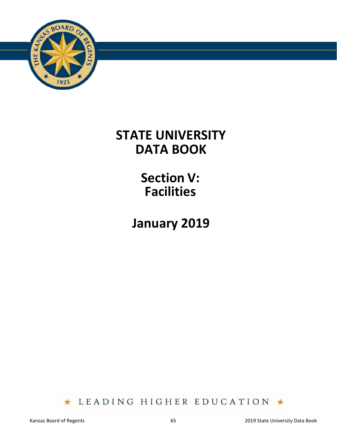

# **STATE UNIVERSITY DATA BOOK**

**Section V: Facilities** 

**January 2019** 

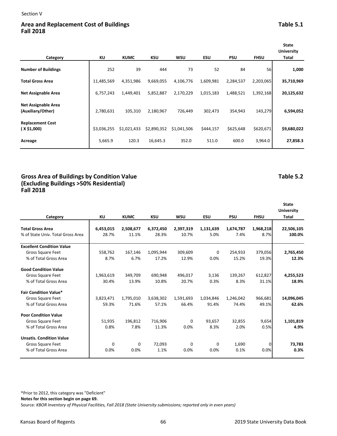## Area and Replacement Cost of Buildings **Table 5.1 Table 5.1 Table 5.1 Fall 2018**

| Category                                        | ΚU          | <b>KUMC</b> | <b>KSU</b>  | WSU         | ESU       | <b>PSU</b> | <b>FHSU</b> | <b>State</b><br><b>University</b><br>Total |
|-------------------------------------------------|-------------|-------------|-------------|-------------|-----------|------------|-------------|--------------------------------------------|
| <b>Number of Buildings</b>                      | 252         | 39          | 444         | 73          | 52        | 84         | 56          | 1,000                                      |
| <b>Total Gross Area</b>                         | 11,485,569  | 4,351,986   | 9,669,055   | 4,106,776   | 1,609,981 | 2,284,537  | 2,203,065   | 35,710,969                                 |
| <b>Net Assignable Area</b>                      | 6,757,243   | 1,449,401   | 5,852,887   | 2,170,229   | 1,015,183 | 1,488,521  | 1,392,168   | 20,125,632                                 |
| <b>Net Assignable Area</b><br>(Auxiliary/Other) | 2,780,631   | 105,310     | 2,180,967   | 726,449     | 302,473   | 354,943    | 143,279     | 6,594,052                                  |
| <b>Replacement Cost</b><br>(X\$1,000)           | \$3,036,255 | \$1,021,433 | \$2,890,352 | \$1,041,506 | \$444,157 | \$625,648  | \$620,671   | \$9,680,022                                |
| Acreage                                         | 5,665.9     | 120.3       | 16,645.3    | 352.0       | 511.0     | 600.0      | 3,964.0     | 27,858.3                                   |

### **Gross Area of Buildings by Condition Value Table 5.2 (Excluding Buildings >50% Residential) Fall 2018**

## **Category KU KUMC KSU WSU ESU PSU FHSU State University Total Total Gross Area 6,453,015 2,508,677 6,372,450 2,397,319 1,131,639 1,674,787 1,968,218 22,506,105** % of State Univ. Total Gross Area 28.7% 11.1% 28.3% 10.7% 5.0% 7.4% 8.7% **100.0% Excellent Condition Value** Gross Square Feet **558,762** 167,146 1,095,944 309,609 0 254,933 379,056 2,765,450 % of Total Gross Area 8.7% 6.7% 17.2% 12.9% 0.0% 15.2% 19.3% **12.3% Good Condition Value** Gross Square Feet 1,963,619 349,709 690,948 496,017 3,136 139,267 612,827 **4,255,523** % of Total Gross Area 30.4% 13.9% 10.8% 20.7% 0.3% 8.3% 31.1% **18.9% Fair Condition Value\*** Gross Square Feet 3,823,471 1,795,010 3,638,302 1,591,693 1,034,846 1,246,042 966,681 **14,096,045** % of Total Gross Area 59.3% 71.6% 57.1% 66.4% 91.4% 74.4% 49.1% **62.6% Poor Condition Value** Gross Square Feet **1** 51,935 196,812 716,906 0 93,657 32,855 9,654 1,101,819 % of Total Gross Area 0.8% 7.8% 11.3% 0.0% 8.3% 2.0% 0.5% **4.9% Unsatis. Condition Value** Gross Square Feet **1** 0 0 72,093 0 0 1,690 0 **73,783** % of Total Gross Area 0.0% 0.0% 1.1% 0.0% 0.0% 0.1% 0.0% **0.3%**

\*Prior to 2012, this category was "Deficient"

**Notes for this section begin on page 69.** 

Source: *KBOR Inventory of Physical Facilities, Fall 2018 (State University submissions; reported only in even years)*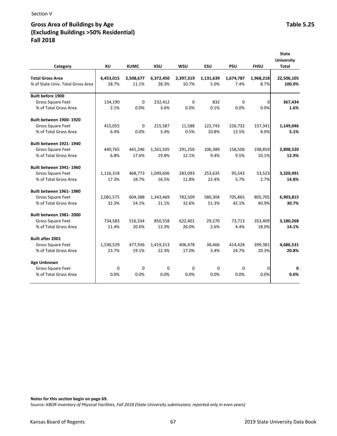# Gross Area of Buildings by Age **Table 5.25** and the United States of Buildings by Age **Table 5.25 (Excluding Buildings >50% Residential) Fall 2018**

|                                   |           |             |            |            |            |            |             | <b>State</b><br><b>University</b> |
|-----------------------------------|-----------|-------------|------------|------------|------------|------------|-------------|-----------------------------------|
| Category                          | <b>KU</b> | <b>KUMC</b> | <b>KSU</b> | <b>WSU</b> | <b>ESU</b> | <b>PSU</b> | <b>FHSU</b> | <b>Total</b>                      |
| <b>Total Gross Area</b>           | 6,453,015 | 2,508,677   | 6,372,450  | 2,397,319  | 1,131,639  | 1,674,787  | 1,968,218   | 22,506,105                        |
| % of State Univ. Total Gross Area | 28.7%     | 11.1%       | 28.3%      | 10.7%      | 5.0%       | 7.4%       | 8.7%        | 100.0%                            |
| <b>Built before 1900</b>          |           |             |            |            |            |            |             |                                   |
| Gross Square Feet                 | 134,190   | 0           | 232,412    | 0          | 832        | 0          | 0           | 367,434                           |
| % of Total Gross Area             | 2.1%      | 0.0%        | 3.6%       | 0.0%       | 0.1%       | 0.0%       | 0.0%        | 1.6%                              |
| <b>Built between 1900-1920</b>    |           |             |            |            |            |            |             |                                   |
| Gross Square Feet                 | 415,055   | $\Omega$    | 215,587    | 11,588     | 122,743    | 226,732    | 157,341     | 1,149,046                         |
| % of Total Gross Area             | 6.4%      | 0.0%        | 3.4%       | 0.5%       | 10.8%      | 13.5%      | 8.0%        | 5.1%                              |
| <b>Built between 1921-1940</b>    |           |             |            |            |            |            |             |                                   |
| Gross Square Feet                 | 440,765   | 441,246     | 1,261,505  | 291,250    | 106,389    | 158,506    | 198,859     | 2,898,520                         |
| % of Total Gross Area             | 6.8%      | 17.6%       | 19.8%      | 12.1%      | 9.4%       | 9.5%       | 10.1%       | 12.9%                             |
| <b>Built between 1941-1960</b>    |           |             |            |            |            |            |             |                                   |
| Gross Square Feet                 | 1,116,318 | 468,773     | 1,049,606  | 283,093    | 253,635    | 95,543     | 53,523      | 3,320,491                         |
| % of Total Gross Area             | 17.3%     | 18.7%       | 16.5%      | 11.8%      | 22.4%      | 5.7%       | 2.7%        | 14.8%                             |
| <b>Built between 1961-1980</b>    |           |             |            |            |            |            |             |                                   |
| Gross Square Feet                 | 2,081,575 | 604,388     | 1,343,469  | 782,509    | 580,304    | 705,865    | 805,705     | 6,903,815                         |
| % of Total Gross Area             | 32.3%     | 24.1%       | 21.1%      | 32.6%      | 51.3%      | 42.1%      | 40.9%       | 30.7%                             |
| <b>Built between 1981-2000</b>    |           |             |            |            |            |            |             |                                   |
| <b>Gross Square Feet</b>          | 734,583   | 516,334     | 850,558    | 622,401    | 29,270     | 73.713     | 353,409     | 3,180,268                         |
| % of Total Gross Area             | 11.4%     | 20.6%       | 13.3%      | 26.0%      | 2.6%       | 4.4%       | 18.0%       | 14.1%                             |
| <b>Built after 2001</b>           |           |             |            |            |            |            |             |                                   |
| <b>Gross Square Feet</b>          | 1,530,529 | 477,936     | 1,419,313  | 406,478    | 38,466     | 414,428    | 399,381     | 4,686,531                         |
| % of Total Gross Area             | 23.7%     | 19.1%       | 22.3%      | 17.0%      | 3.4%       | 24.7%      | 20.3%       | 20.8%                             |
| Age Unknown                       |           |             |            |            |            |            |             |                                   |
| Gross Square Feet                 | 0         | 0           | 0          | 0          | 0          | $\Omega$   | 0           | 0                                 |
| % of Total Gross Area             | 0.0%      | 0.0%        | 0.0%       | 0.0%       | 0.0%       | 0.0%       | 0.0%        | 0.0%                              |

**Notes for this section begin on page 69.** 

Source: *KBOR Inventory of Physical Facilities, Fall 2018 (State University submissions; reported only in even years)*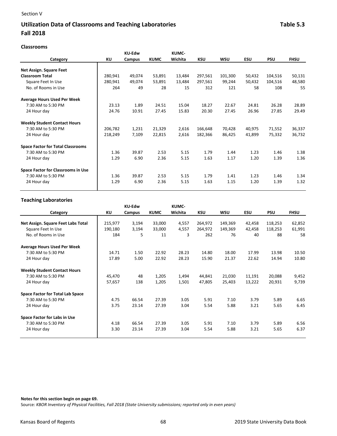# Utilization Data of Classrooms and Teaching Laboratories **Table 5.3** Table 5.3 **Fall 2018**

|                                          | <b>KU-Edw</b> |        |             | KUMC-   |         |         |        |            |             |
|------------------------------------------|---------------|--------|-------------|---------|---------|---------|--------|------------|-------------|
| Category                                 | ΚU            | Campus | <b>KUMC</b> | Wichita | KSU     | WSU     | ESU    | <b>PSU</b> | <b>FHSU</b> |
| Net Assign. Square Feet                  |               |        |             |         |         |         |        |            |             |
| <b>Classroom Total</b>                   | 280,941       | 49,074 | 53,891      | 13,484  | 297,561 | 101,300 | 50,432 | 104,516    | 50,131      |
| Square Feet In Use                       | 280,941       | 49,074 | 53,891      | 13,484  | 297,561 | 99,244  | 50,432 | 104,516    | 48,580      |
| No. of Rooms in Use                      | 264           | 49     | 28          | 15      | 312     | 121     | 58     | 108        | 55          |
| <b>Average Hours Used Per Week</b>       |               |        |             |         |         |         |        |            |             |
| 7:30 AM to 5:30 PM                       | 23.13         | 1.89   | 24.51       | 15.04   | 18.27   | 22.67   | 24.81  | 26.28      | 28.89       |
| 24 Hour day                              | 24.76         | 10.91  | 27.45       | 15.83   | 20.30   | 27.45   | 26.96  | 27.85      | 29.49       |
| <b>Weekly Student Contact Hours</b>      |               |        |             |         |         |         |        |            |             |
| 7:30 AM to 5:30 PM                       | 206,782       | 1,231  | 21,329      | 2,616   | 166,648 | 70,428  | 40,975 | 71,552     | 36,337      |
| 24 Hour day                              | 218,249       | 7,109  | 22,815      | 2,616   | 182,366 | 86,425  | 41,899 | 75,332     | 36,732      |
| <b>Space Factor for Total Classrooms</b> |               |        |             |         |         |         |        |            |             |
| 7:30 AM to 5:30 PM                       | 1.36          | 39.87  | 2.53        | 5.15    | 1.79    | 1.44    | 1.23   | 1.46       | 1.38        |
| 24 Hour day                              | 1.29          | 6.90   | 2.36        | 5.15    | 1.63    | 1.17    | 1.20   | 1.39       | 1.36        |
| Space Factor for Classrooms in Use       |               |        |             |         |         |         |        |            |             |
| 7:30 AM to 5:30 PM                       | 1.36          | 39.87  | 2.53        | 5.15    | 1.79    | 1.41    | 1.23   | 1.46       | 1.34        |

24 Hour day 1.29 6.90 2.36 5.15 1.63 1.15 1.20 1.39 1.32

#### **Teaching Laboratories**

|                                         |         | <b>KU-Edw</b> |             | KUMC-   |            |            |            |            |             |
|-----------------------------------------|---------|---------------|-------------|---------|------------|------------|------------|------------|-------------|
| Category                                | ΚU      | Campus        | <b>KUMC</b> | Wichita | <b>KSU</b> | <b>WSU</b> | <b>ESU</b> | <b>PSU</b> | <b>FHSU</b> |
| Net Assign. Square Feet Labs Total      | 215,977 | 3,194         | 33,000      | 4,557   | 264,972    | 149,369    | 42,458     | 118,253    | 62,852      |
| Square Feet In Use                      | 190,180 | 3,194         | 33,000      | 4,557   | 264,972    | 149,369    | 42,458     | 118,253    | 61,991      |
| No. of Rooms in Use                     | 184     | 5             | 11          | 3       | 262        | 76         | 40         | 88         | 58          |
| <b>Average Hours Used Per Week</b>      |         |               |             |         |            |            |            |            |             |
| 7:30 AM to 5:30 PM                      | 14.71   | 1.50          | 22.92       | 28.23   | 14.80      | 18.00      | 17.99      | 13.98      | 10.50       |
| 24 Hour day                             | 17.89   | 5.00          | 22.92       | 28.23   | 15.90      | 21.37      | 22.62      | 14.94      | 10.80       |
| <b>Weekly Student Contact Hours</b>     |         |               |             |         |            |            |            |            |             |
| 7:30 AM to 5:30 PM                      | 45,470  | 48            | 1,205       | 1,494   | 44,841     | 21,030     | 11,191     | 20,088     | 9,452       |
| 24 Hour day                             | 57,657  | 138           | 1,205       | 1,501   | 47,805     | 25,403     | 13,222     | 20,931     | 9,739       |
| <b>Space Factor for Total Lab Space</b> |         |               |             |         |            |            |            |            |             |
| 7:30 AM to 5:30 PM                      | 4.75    | 66.54         | 27.39       | 3.05    | 5.91       | 7.10       | 3.79       | 5.89       | 6.65        |
| 24 Hour day                             | 3.75    | 23.14         | 27.39       | 3.04    | 5.54       | 5.88       | 3.21       | 5.65       | 6.45        |
| Space Factor for Labs in Use            |         |               |             |         |            |            |            |            |             |
| 7:30 AM to 5:30 PM                      | 4.18    | 66.54         | 27.39       | 3.05    | 5.91       | 7.10       | 3.79       | 5.89       | 6.56        |
| 24 Hour day                             | 3.30    | 23.14         | 27.39       | 3.04    | 5.54       | 5.88       | 3.21       | 5.65       | 6.37        |

**Notes for this section begin on page 69.**  Source: *KBOR Inventory of Physical Facilities, Fall 2018 (State University submissions; reported only in even years)*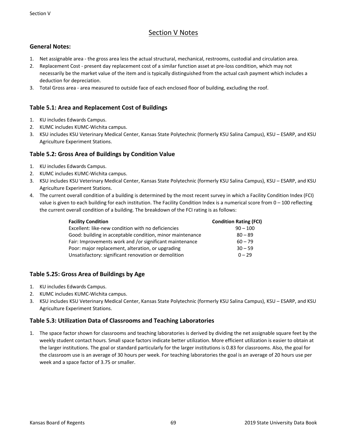# Section V Notes

## **General Notes:**

- 1. Net assignable area ‐ the gross area less the actual structural, mechanical, restrooms, custodial and circulation area.
- 2. Replacement Cost present day replacement cost of a similar function asset at pre-loss condition, which may not necessarily be the market value of the item and is typically distinguished from the actual cash payment which includes a deduction for depreciation.
- 3. Total Gross area ‐ area measured to outside face of each enclosed floor of building, excluding the roof.

## **Table 5.1: Area and Replacement Cost of Buildings**

- 1. KU includes Edwards Campus.
- 2. KUMC includes KUMC‐Wichita campus.
- 3. KSU includes KSU Veterinary Medical Center, Kansas State Polytechnic (formerly KSU Salina Campus), KSU ESARP, and KSU Agriculture Experiment Stations.

### **Table 5.2: Gross Area of Buildings by Condition Value**

- 1. KU includes Edwards Campus.
- 2. KUMC includes KUMC‐Wichita campus.
- 3. KSU includes KSU Veterinary Medical Center, Kansas State Polytechnic (formerly KSU Salina Campus), KSU ESARP, and KSU Agriculture Experiment Stations.
- 4. The current overall condition of a building is determined by the most recent survey in which a Facility Condition Index (FCI) value is given to each building for each institution. The Facility Condition Index is a numerical score from 0 - 100 reflecting the current overall condition of a building. The breakdown of the FCI rating is as follows:

| <b>Facility Condition</b>                                 | <b>Condition Rating (FCI)</b> |
|-----------------------------------------------------------|-------------------------------|
| Excellent: like-new condition with no deficiencies        | $90 - 100$                    |
| Good: building in acceptable condition, minor maintenance | $80 - 89$                     |
| Fair: Improvements work and /or significant maintenance   | $60 - 79$                     |
| Poor: major replacement, alteration, or upgrading         | $30 - 59$                     |
| Unsatisfactory: significant renovation or demolition      | $0 - 29$                      |

## **Table 5.25: Gross Area of Buildings by Age**

- 1. KU includes Edwards Campus.
- 2. KUMC includes KUMC‐Wichita campus.
- 3. KSU includes KSU Veterinary Medical Center, Kansas State Polytechnic (formerly KSU Salina Campus), KSU ESARP, and KSU Agriculture Experiment Stations.

## **Table 5.3: Utilization Data of Classrooms and Teaching Laboratories**

1. The space factor shown for classrooms and teaching laboratories is derived by dividing the net assignable square feet by the weekly student contact hours. Small space factors indicate better utilization. More efficient utilization is easier to obtain at the larger institutions. The goal or standard particularly for the larger institutions is 0.83 for classrooms. Also, the goal for the classroom use is an average of 30 hours per week. For teaching laboratories the goal is an average of 20 hours use per week and a space factor of 3.75 or smaller.